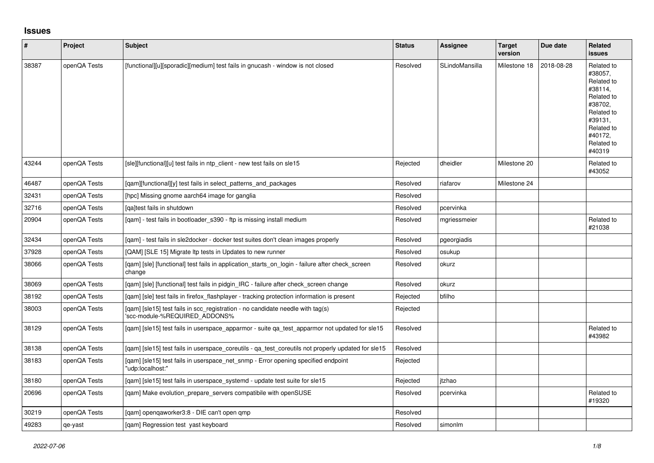## **Issues**

| $\vert$ # | <b>Project</b> | <b>Subject</b>                                                                                                  | <b>Status</b> | <b>Assignee</b> | <b>Target</b><br>version | Due date   | Related<br><b>issues</b>                                                                                                                          |
|-----------|----------------|-----------------------------------------------------------------------------------------------------------------|---------------|-----------------|--------------------------|------------|---------------------------------------------------------------------------------------------------------------------------------------------------|
| 38387     | openQA Tests   | [functional][u][sporadic][medium] test fails in gnucash - window is not closed                                  | Resolved      | SLindoMansilla  | Milestone 18             | 2018-08-28 | Related to<br>#38057.<br>Related to<br>#38114.<br>Related to<br>#38702,<br>Related to<br>#39131.<br>Related to<br>#40172,<br>Related to<br>#40319 |
| 43244     | openQA Tests   | [sle][functional][u] test fails in ntp client - new test fails on sle15                                         | Rejected      | dheidler        | Milestone 20             |            | Related to<br>#43052                                                                                                                              |
| 46487     | openQA Tests   | [qam][functional][y] test fails in select_patterns_and_packages                                                 | Resolved      | riafarov        | Milestone 24             |            |                                                                                                                                                   |
| 32431     | openQA Tests   | [hpc] Missing gnome aarch64 image for ganglia                                                                   | Resolved      |                 |                          |            |                                                                                                                                                   |
| 32716     | openQA Tests   | lgaltest fails in shutdown                                                                                      | Resolved      | pcervinka       |                          |            |                                                                                                                                                   |
| 20904     | openQA Tests   | [gam] - test fails in bootloader s390 - ftp is missing install medium                                           | Resolved      | mgriessmeier    |                          |            | Related to<br>#21038                                                                                                                              |
| 32434     | openQA Tests   | [qam] - test fails in sle2docker - docker test suites don't clean images properly                               | Resolved      | pgeorgiadis     |                          |            |                                                                                                                                                   |
| 37928     | openQA Tests   | [QAM] [SLE 15] Migrate Itp tests in Updates to new runner                                                       | Resolved      | osukup          |                          |            |                                                                                                                                                   |
| 38066     | openQA Tests   | [qam] [sle] [functional] test fails in application_starts_on_login - failure after check_screen<br>change       | Resolved      | okurz           |                          |            |                                                                                                                                                   |
| 38069     | openQA Tests   | [qam] [sle] [functional] test fails in pidgin_IRC - failure after check_screen change                           | Resolved      | okurz           |                          |            |                                                                                                                                                   |
| 38192     | openQA Tests   | [gam] [sle] test fails in firefox flashplayer - tracking protection information is present                      | Rejected      | bfilho          |                          |            |                                                                                                                                                   |
| 38003     | openQA Tests   | [qam] [sle15] test fails in scc_registration - no candidate needle with tag(s)<br>'scc-module-%REQUIRED_ADDONS% | Rejected      |                 |                          |            |                                                                                                                                                   |
| 38129     | openQA Tests   | [qam] [sle15] test fails in userspace_apparmor - suite qa_test_apparmor not updated for sle15                   | Resolved      |                 |                          |            | Related to<br>#43982                                                                                                                              |
| 38138     | openQA Tests   | [gam] [sle15] test fails in userspace coreutils - ga test coreutils not properly updated for sle15              | Resolved      |                 |                          |            |                                                                                                                                                   |
| 38183     | openQA Tests   | [qam] [sle15] test fails in userspace_net_snmp - Error opening specified endpoint<br>"udp:localhost:"           | Rejected      |                 |                          |            |                                                                                                                                                   |
| 38180     | openQA Tests   | [qam] [sle15] test fails in userspace_systemd - update test suite for sle15                                     | Rejected      | itzhao          |                          |            |                                                                                                                                                   |
| 20696     | openQA Tests   | [gam] Make evolution prepare servers compatibile with openSUSE                                                  | Resolved      | pcervinka       |                          |            | Related to<br>#19320                                                                                                                              |
| 30219     | openQA Tests   | [qam] openqaworker3:8 - DIE can't open qmp                                                                      | Resolved      |                 |                          |            |                                                                                                                                                   |
| 49283     | qe-yast        | [gam] Regression test yast keyboard                                                                             | Resolved      | simonlm         |                          |            |                                                                                                                                                   |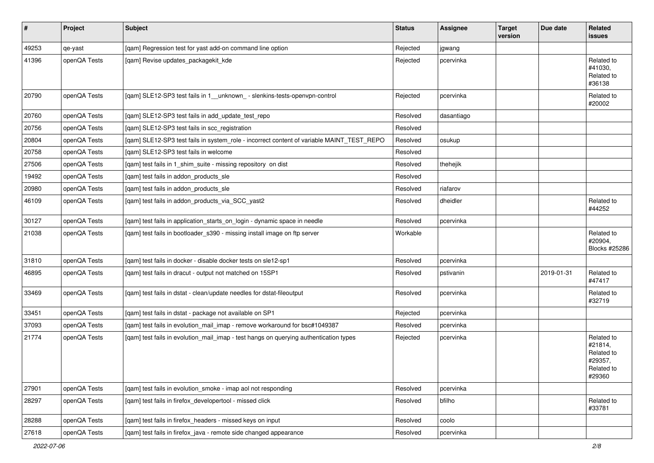| $\vert$ # | Project      | <b>Subject</b>                                                                            | <b>Status</b> | <b>Assignee</b> | <b>Target</b><br>version | Due date   | Related<br>issues                                                      |
|-----------|--------------|-------------------------------------------------------------------------------------------|---------------|-----------------|--------------------------|------------|------------------------------------------------------------------------|
| 49253     | qe-yast      | [qam] Regression test for yast add-on command line option                                 | Rejected      | jgwang          |                          |            |                                                                        |
| 41396     | openQA Tests | [qam] Revise updates_packagekit_kde                                                       | Rejected      | pcervinka       |                          |            | Related to<br>#41030,<br>Related to<br>#36138                          |
| 20790     | openQA Tests | [qam] SLE12-SP3 test fails in 1_unknown_- slenkins-tests-openvpn-control                  | Rejected      | pcervinka       |                          |            | Related to<br>#20002                                                   |
| 20760     | openQA Tests | [gam] SLE12-SP3 test fails in add update test repo                                        | Resolved      | dasantiago      |                          |            |                                                                        |
| 20756     | openQA Tests | [qam] SLE12-SP3 test fails in scc_registration                                            | Resolved      |                 |                          |            |                                                                        |
| 20804     | openQA Tests | [qam] SLE12-SP3 test fails in system_role - incorrect content of variable MAINT_TEST_REPO | Resolved      | osukup          |                          |            |                                                                        |
| 20758     | openQA Tests | [gam] SLE12-SP3 test fails in welcome                                                     | Resolved      |                 |                          |            |                                                                        |
| 27506     | openQA Tests | [qam] test fails in 1_shim_suite - missing repository on dist                             | Resolved      | thehejik        |                          |            |                                                                        |
| 19492     | openQA Tests | [gam] test fails in addon products sle                                                    | Resolved      |                 |                          |            |                                                                        |
| 20980     | openQA Tests | [qam] test fails in addon_products_sle                                                    | Resolved      | riafarov        |                          |            |                                                                        |
| 46109     | openQA Tests | [qam] test fails in addon_products_via_SCC_yast2                                          | Resolved      | dheidler        |                          |            | Related to<br>#44252                                                   |
| 30127     | openQA Tests | [qam] test fails in application_starts_on_login - dynamic space in needle                 | Resolved      | pcervinka       |                          |            |                                                                        |
| 21038     | openQA Tests | [qam] test fails in bootloader_s390 - missing install image on ftp server                 | Workable      |                 |                          |            | Related to<br>#20904,<br>Blocks #25286                                 |
| 31810     | openQA Tests | [qam] test fails in docker - disable docker tests on sle12-sp1                            | Resolved      | pcervinka       |                          |            |                                                                        |
| 46895     | openQA Tests | [gam] test fails in dracut - output not matched on 15SP1                                  | Resolved      | pstivanin       |                          | 2019-01-31 | Related to<br>#47417                                                   |
| 33469     | openQA Tests | [qam] test fails in dstat - clean/update needles for dstat-fileoutput                     | Resolved      | pcervinka       |                          |            | Related to<br>#32719                                                   |
| 33451     | openQA Tests | [qam] test fails in dstat - package not available on SP1                                  | Rejected      | pcervinka       |                          |            |                                                                        |
| 37093     | openQA Tests | [qam] test fails in evolution_mail_imap - remove workaround for bsc#1049387               | Resolved      | pcervinka       |                          |            |                                                                        |
| 21774     | openQA Tests | [qam] test fails in evolution_mail_imap - test hangs on querying authentication types     | Rejected      | pcervinka       |                          |            | Related to<br>#21814,<br>Related to<br>#29357,<br>Related to<br>#29360 |
| 27901     | openQA Tests | [qam] test fails in evolution_smoke - imap aol not responding                             | Resolved      | pcervinka       |                          |            |                                                                        |
| 28297     | openQA Tests | [gam] test fails in firefox developertool - missed click                                  | Resolved      | bfilho          |                          |            | Related to<br>#33781                                                   |
| 28288     | openQA Tests | [qam] test fails in firefox_headers - missed keys on input                                | Resolved      | coolo           |                          |            |                                                                        |
| 27618     | openQA Tests | [qam] test fails in firefox_java - remote side changed appearance                         | Resolved      | pcervinka       |                          |            |                                                                        |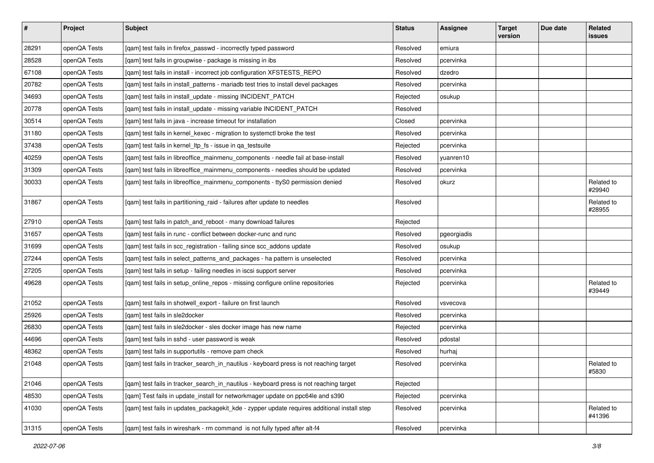| $\vert$ # | Project      | <b>Subject</b>                                                                              | <b>Status</b> | <b>Assignee</b> | <b>Target</b><br>version | Due date | Related<br><b>issues</b> |
|-----------|--------------|---------------------------------------------------------------------------------------------|---------------|-----------------|--------------------------|----------|--------------------------|
| 28291     | openQA Tests | [qam] test fails in firefox_passwd - incorrectly typed password                             | Resolved      | emiura          |                          |          |                          |
| 28528     | openQA Tests | [gam] test fails in groupwise - package is missing in ibs                                   | Resolved      | pcervinka       |                          |          |                          |
| 67108     | openQA Tests | [qam] test fails in install - incorrect job configuration XFSTESTS_REPO                     | Resolved      | dzedro          |                          |          |                          |
| 20782     | openQA Tests | [qam] test fails in install_patterns - mariadb test tries to install devel packages         | Resolved      | pcervinka       |                          |          |                          |
| 34693     | openQA Tests | [qam] test fails in install_update - missing INCIDENT_PATCH                                 | Rejected      | osukup          |                          |          |                          |
| 20778     | openQA Tests | [qam] test fails in install_update - missing variable INCIDENT_PATCH                        | Resolved      |                 |                          |          |                          |
| 30514     | openQA Tests | [qam] test fails in java - increase timeout for installation                                | Closed        | pcervinka       |                          |          |                          |
| 31180     | openQA Tests | [qam] test fails in kernel_kexec - migration to systemctl broke the test                    | Resolved      | pcervinka       |                          |          |                          |
| 37438     | openQA Tests | [qam] test fails in kernel_ltp_fs - issue in qa_testsuite                                   | Rejected      | pcervinka       |                          |          |                          |
| 40259     | openQA Tests | [qam] test fails in libreoffice_mainmenu_components - needle fail at base-install           | Resolved      | yuanren10       |                          |          |                          |
| 31309     | openQA Tests | [qam] test fails in libreoffice_mainmenu_components - needles should be updated             | Resolved      | pcervinka       |                          |          |                          |
| 30033     | openQA Tests | [qam] test fails in libreoffice_mainmenu_components - ttyS0 permission denied               | Resolved      | okurz           |                          |          | Related to<br>#29940     |
| 31867     | openQA Tests | [qam] test fails in partitioning_raid - failures after update to needles                    | Resolved      |                 |                          |          | Related to<br>#28955     |
| 27910     | openQA Tests | [qam] test fails in patch_and_reboot - many download failures                               | Rejected      |                 |                          |          |                          |
| 31657     | openQA Tests | [qam] test fails in runc - conflict between docker-runc and runc                            | Resolved      | pgeorgiadis     |                          |          |                          |
| 31699     | openQA Tests | [qam] test fails in scc_registration - failing since scc_addons update                      | Resolved      | osukup          |                          |          |                          |
| 27244     | openQA Tests | [qam] test fails in select_patterns_and_packages - ha pattern is unselected                 | Resolved      | pcervinka       |                          |          |                          |
| 27205     | openQA Tests | [qam] test fails in setup - failing needles in iscsi support server                         | Resolved      | pcervinka       |                          |          |                          |
| 49628     | openQA Tests | [qam] test fails in setup_online_repos - missing configure online repositories              | Rejected      | pcervinka       |                          |          | Related to<br>#39449     |
| 21052     | openQA Tests | [gam] test fails in shotwell export - failure on first launch                               | Resolved      | vsvecova        |                          |          |                          |
| 25926     | openQA Tests | [gam] test fails in sle2docker                                                              | Resolved      | pcervinka       |                          |          |                          |
| 26830     | openQA Tests | [gam] test fails in sle2docker - sles docker image has new name                             | Rejected      | pcervinka       |                          |          |                          |
| 44696     | openQA Tests | [qam] test fails in sshd - user password is weak                                            | Resolved      | pdostal         |                          |          |                          |
| 48362     | openQA Tests | [qam] test fails in supportutils - remove pam check                                         | Resolved      | hurhaj          |                          |          |                          |
| 21048     | openQA Tests | [qam] test fails in tracker_search_in_nautilus - keyboard press is not reaching target      | Resolved      | pcervinka       |                          |          | Related to<br>#5830      |
| 21046     | openQA Tests | [gam] test fails in tracker_search_in_nautilus - keyboard press is not reaching target      | Rejected      |                 |                          |          |                          |
| 48530     | openQA Tests | [gam] Test fails in update install for networkmager update on ppc64le and s390              | Rejected      | pcervinka       |                          |          |                          |
| 41030     | openQA Tests | [qam] test fails in updates_packagekit_kde - zypper update requires additional install step | Resolved      | pcervinka       |                          |          | Related to<br>#41396     |
| 31315     | openQA Tests | [qam] test fails in wireshark - rm command is not fully typed after alt-f4                  | Resolved      | pcervinka       |                          |          |                          |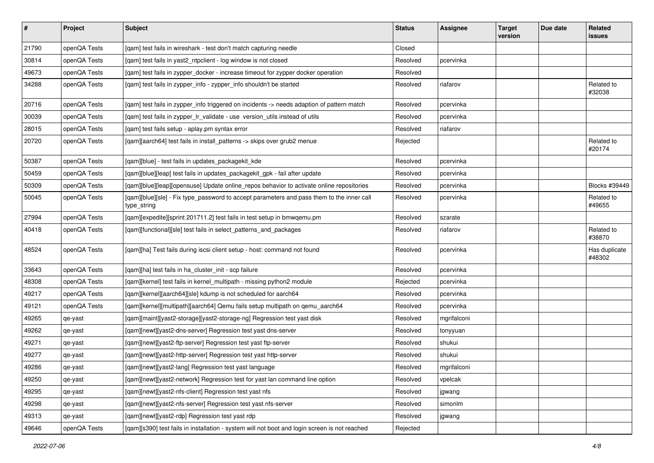| $\sharp$ | Project      | <b>Subject</b>                                                                                           | <b>Status</b> | <b>Assignee</b> | <b>Target</b><br>version | Due date | Related<br>issues       |
|----------|--------------|----------------------------------------------------------------------------------------------------------|---------------|-----------------|--------------------------|----------|-------------------------|
| 21790    | openQA Tests | [qam] test fails in wireshark - test don't match capturing needle                                        | Closed        |                 |                          |          |                         |
| 30814    | openQA Tests | [gam] test fails in yast2 ntpclient - log window is not closed                                           | Resolved      | pcervinka       |                          |          |                         |
| 49673    | openQA Tests | [qam] test fails in zypper_docker - increase timeout for zypper docker operation                         | Resolved      |                 |                          |          |                         |
| 34288    | openQA Tests | [qam] test fails in zypper_info - zypper_info shouldn't be started                                       | Resolved      | riafarov        |                          |          | Related to<br>#32038    |
| 20716    | openQA Tests | [qam] test fails in zypper_info triggered on incidents -> needs adaption of pattern match                | Resolved      | pcervinka       |                          |          |                         |
| 30039    | openQA Tests | [qam] test fails in zypper_lr_validate - use version_utils instead of utils                              | Resolved      | pcervinka       |                          |          |                         |
| 28015    | openQA Tests | [qam] test fails setup - aplay.pm syntax error                                                           | Resolved      | riafarov        |                          |          |                         |
| 20720    | openQA Tests | [qam][aarch64] test fails in install_patterns -> skips over grub2 menue                                  | Rejected      |                 |                          |          | Related to<br>#20174    |
| 50387    | openQA Tests | [qam][blue] - test fails in updates_packagekit_kde                                                       | Resolved      | pcervinka       |                          |          |                         |
| 50459    | openQA Tests | [qam][blue][leap] test fails in updates_packagekit_gpk - fail after update                               | Resolved      | pcervinka       |                          |          |                         |
| 50309    | openQA Tests | [qam][blue][leap][opensuse] Update online_repos behavior to activate online repositories                 | Resolved      | pcervinka       |                          |          | Blocks #39449           |
| 50045    | openQA Tests | [qam][blue][sle] - Fix type_password to accept parameters and pass them to the inner call<br>type_string | Resolved      | pcervinka       |                          |          | Related to<br>#49655    |
| 27994    | openQA Tests | [qam][expedite][sprint 201711.2] test fails in test setup in bmwqemu.pm                                  | Resolved      | szarate         |                          |          |                         |
| 40418    | openQA Tests | [qam][functional][sle] test fails in select_patterns_and_packages                                        | Resolved      | riafarov        |                          |          | Related to<br>#38870    |
| 48524    | openQA Tests | [qam][ha] Test fails during iscsi client setup - host: command not found                                 | Resolved      | pcervinka       |                          |          | Has duplicate<br>#48302 |
| 33643    | openQA Tests | [qam][ha] test fails in ha_cluster_init - scp failure                                                    | Resolved      | pcervinka       |                          |          |                         |
| 48308    | openQA Tests | [qam][kernel] test fails in kernel_multipath - missing python2 module                                    | Rejected      | pcervinka       |                          |          |                         |
| 49217    | openQA Tests | [gam][kernel][aarch64][sle] kdump is not scheduled for aarch64                                           | Resolved      | pcervinka       |                          |          |                         |
| 49121    | openQA Tests | [qam][kernel][multipath][aarch64] Qemu fails setup multipath on qemu_aarch64                             | Resolved      | pcervinka       |                          |          |                         |
| 49265    | qe-yast      | [qam][maint][yast2-storage][yast2-storage-ng] Regression test yast disk                                  | Resolved      | mgrifalconi     |                          |          |                         |
| 49262    | qe-yast      | [qam][newt][yast2-dns-server] Regression test yast dns-server                                            | Resolved      | tonyyuan        |                          |          |                         |
| 49271    | qe-yast      | [qam][newt][yast2-ftp-server] Regression test yast ftp-server                                            | Resolved      | shukui          |                          |          |                         |
| 49277    | qe-yast      | [qam][newt][yast2-http-server] Regression test yast http-server                                          | Resolved      | shukui          |                          |          |                         |
| 49286    | qe-yast      | [qam][newt][yast2-lang] Regression test yast language                                                    | Resolved      | mgrifalconi     |                          |          |                         |
| 49250    | qe-yast      | [qam][newt][yast2-network] Regression test for yast lan command line option                              | Resolved      | vpelcak         |                          |          |                         |
| 49295    | qe-yast      | [qam][newt][yast2-nfs-client] Regression test yast nfs                                                   | Resolved      | jgwang          |                          |          |                         |
| 49298    | qe-yast      | [qam][newt][yast2-nfs-server] Regression test yast nfs-server                                            | Resolved      | simonlm         |                          |          |                         |
| 49313    | qe-yast      | [qam][newt][yast2-rdp] Regression test yast rdp                                                          | Resolved      | jgwang          |                          |          |                         |
| 49646    | openQA Tests | [qam][s390] test fails in installation - system will not boot and login screen is not reached            | Rejected      |                 |                          |          |                         |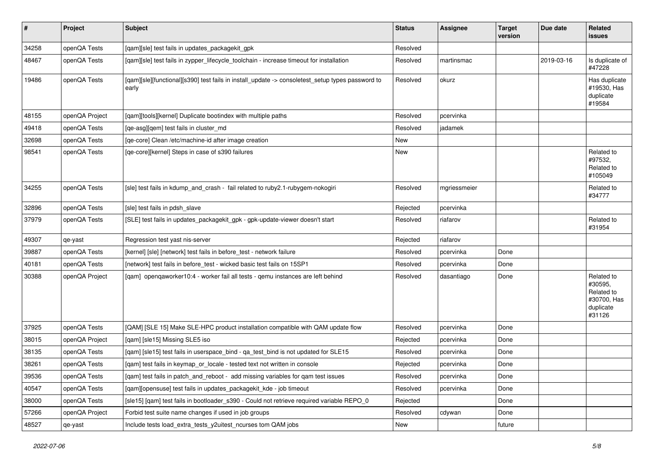| $\pmb{\#}$ | Project        | <b>Subject</b>                                                                                            | <b>Status</b> | <b>Assignee</b> | <b>Target</b><br>version | Due date   | <b>Related</b><br>issues                                                  |
|------------|----------------|-----------------------------------------------------------------------------------------------------------|---------------|-----------------|--------------------------|------------|---------------------------------------------------------------------------|
| 34258      | openQA Tests   | [qam][sle] test fails in updates_packagekit_gpk                                                           | Resolved      |                 |                          |            |                                                                           |
| 48467      | openQA Tests   | [qam][sle] test fails in zypper_lifecycle_toolchain - increase timeout for installation                   | Resolved      | martinsmac      |                          | 2019-03-16 | Is duplicate of<br>#47228                                                 |
| 19486      | openQA Tests   | [qam][sle][functional][s390] test fails in install_update -> consoletest_setup types password to<br>early | Resolved      | okurz           |                          |            | Has duplicate<br>#19530, Has<br>duplicate<br>#19584                       |
| 48155      | openQA Project | [qam][tools][kernel] Duplicate bootindex with multiple paths                                              | Resolved      | pcervinka       |                          |            |                                                                           |
| 49418      | openQA Tests   | [ge-asg][gem] test fails in cluster md                                                                    | Resolved      | jadamek         |                          |            |                                                                           |
| 32698      | openQA Tests   | [qe-core] Clean /etc/machine-id after image creation                                                      | New           |                 |                          |            |                                                                           |
| 98541      | openQA Tests   | [qe-core][kernel] Steps in case of s390 failures                                                          | New           |                 |                          |            | Related to<br>#97532,<br>Related to<br>#105049                            |
| 34255      | openQA Tests   | [sle] test fails in kdump_and_crash - fail related to ruby2.1-rubygem-nokogiri                            | Resolved      | mgriessmeier    |                          |            | Related to<br>#34777                                                      |
| 32896      | openQA Tests   | [sle] test fails in pdsh_slave                                                                            | Rejected      | pcervinka       |                          |            |                                                                           |
| 37979      | openQA Tests   | [SLE] test fails in updates_packagekit_gpk - gpk-update-viewer doesn't start                              | Resolved      | riafarov        |                          |            | Related to<br>#31954                                                      |
| 49307      | qe-yast        | Regression test vast nis-server                                                                           | Rejected      | riafarov        |                          |            |                                                                           |
| 39887      | openQA Tests   | [kernel] [sle] [network] test fails in before_test - network failure                                      | Resolved      | pcervinka       | Done                     |            |                                                                           |
| 40181      | openQA Tests   | [network] test fails in before_test - wicked basic test fails on 15SP1                                    | Resolved      | pcervinka       | Done                     |            |                                                                           |
| 30388      | openQA Project | [qam] openqaworker10:4 - worker fail all tests - qemu instances are left behind                           | Resolved      | dasantiago      | Done                     |            | Related to<br>#30595,<br>Related to<br>#30700, Has<br>duplicate<br>#31126 |
| 37925      | openQA Tests   | [QAM] [SLE 15] Make SLE-HPC product installation compatible with QAM update flow                          | Resolved      | pcervinka       | Done                     |            |                                                                           |
| 38015      | openQA Project | [qam] [sle15] Missing SLE5 iso                                                                            | Rejected      | pcervinka       | Done                     |            |                                                                           |
| 38135      | openQA Tests   | [qam] [sle15] test fails in userspace_bind - qa_test_bind is not updated for SLE15                        | Resolved      | pcervinka       | Done                     |            |                                                                           |
| 38261      | openQA Tests   | [qam] test fails in keymap_or_locale - tested text not written in console                                 | Rejected      | pcervinka       | Done                     |            |                                                                           |
| 39536      | openQA Tests   | [qam] test fails in patch_and_reboot - add missing variables for qam test issues                          | Resolved      | pcervinka       | Done                     |            |                                                                           |
| 40547      | openQA Tests   | [qam][opensuse] test fails in updates_packagekit_kde - job timeout                                        | Resolved      | pcervinka       | Done                     |            |                                                                           |
| 38000      | openQA Tests   | [sle15] [gam] test fails in bootloader s390 - Could not retrieve required variable REPO 0                 | Rejected      |                 | Done                     |            |                                                                           |
| 57266      | openQA Project | Forbid test suite name changes if used in job groups                                                      | Resolved      | cdywan          | Done                     |            |                                                                           |
| 48527      | qe-yast        | Include tests load extra tests y2uitest ncurses tom QAM jobs                                              | New           |                 | future                   |            |                                                                           |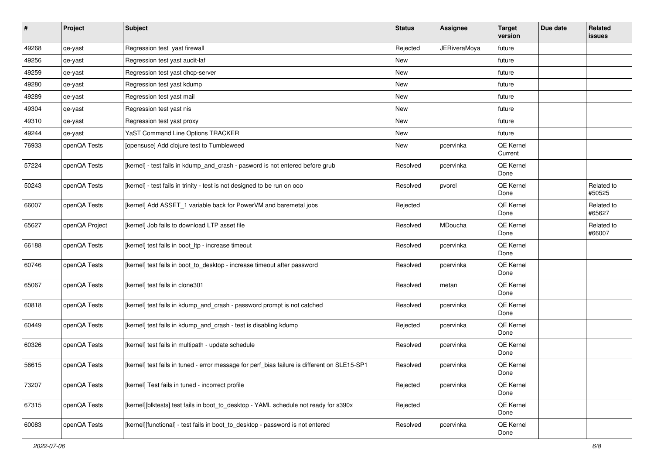| $\sharp$ | Project        | <b>Subject</b>                                                                               | <b>Status</b> | Assignee            | <b>Target</b><br>version | Due date | Related<br>issues    |
|----------|----------------|----------------------------------------------------------------------------------------------|---------------|---------------------|--------------------------|----------|----------------------|
| 49268    | qe-yast        | Regression test yast firewall                                                                | Rejected      | <b>JERiveraMoya</b> | future                   |          |                      |
| 49256    | qe-yast        | Regression test yast audit-laf                                                               | New           |                     | future                   |          |                      |
| 49259    | qe-yast        | Regression test yast dhcp-server                                                             | New           |                     | future                   |          |                      |
| 49280    | qe-yast        | Regression test yast kdump                                                                   | New           |                     | future                   |          |                      |
| 49289    | qe-yast        | Regression test yast mail                                                                    | New           |                     | future                   |          |                      |
| 49304    | qe-yast        | Regression test yast nis                                                                     | New           |                     | future                   |          |                      |
| 49310    | qe-yast        | Regression test yast proxy                                                                   | New           |                     | future                   |          |                      |
| 49244    | qe-yast        | <b>YaST Command Line Options TRACKER</b>                                                     | New           |                     | future                   |          |                      |
| 76933    | openQA Tests   | [opensuse] Add clojure test to Tumbleweed                                                    | New           | pcervinka           | QE Kernel<br>Current     |          |                      |
| 57224    | openQA Tests   | [kernel] - test fails in kdump_and_crash - pasword is not entered before grub                | Resolved      | pcervinka           | QE Kernel<br>Done        |          |                      |
| 50243    | openQA Tests   | [kernel] - test fails in trinity - test is not designed to be run on ooo                     | Resolved      | pvorel              | QE Kernel<br>Done        |          | Related to<br>#50525 |
| 66007    | openQA Tests   | [kernel] Add ASSET_1 variable back for PowerVM and baremetal jobs                            | Rejected      |                     | QE Kernel<br>Done        |          | Related to<br>#65627 |
| 65627    | openQA Project | [kernel] Job fails to download LTP asset file                                                | Resolved      | MDoucha             | QE Kernel<br>Done        |          | Related to<br>#66007 |
| 66188    | openQA Tests   | [kernel] test fails in boot_ltp - increase timeout                                           | Resolved      | pcervinka           | QE Kernel<br>Done        |          |                      |
| 60746    | openQA Tests   | [kernel] test fails in boot_to_desktop - increase timeout after password                     | Resolved      | pcervinka           | QE Kernel<br>Done        |          |                      |
| 65067    | openQA Tests   | [kernel] test fails in clone301                                                              | Resolved      | metan               | QE Kernel<br>Done        |          |                      |
| 60818    | openQA Tests   | [kernel] test fails in kdump_and_crash - password prompt is not catched                      | Resolved      | pcervinka           | QE Kernel<br>Done        |          |                      |
| 60449    | openQA Tests   | [kernel] test fails in kdump_and_crash - test is disabling kdump                             | Rejected      | pcervinka           | QE Kernel<br>Done        |          |                      |
| 60326    | openQA Tests   | [kernel] test fails in multipath - update schedule                                           | Resolved      | pcervinka           | QE Kernel<br>Done        |          |                      |
| 56615    | openQA Tests   | [kernel] test fails in tuned - error message for perf_bias failure is different on SLE15-SP1 | Resolved      | pcervinka           | QE Kernel<br>Done        |          |                      |
| 73207    | openQA Tests   | [kernel] Test fails in tuned - incorrect profile                                             | Rejected      | pcervinka           | QE Kernel<br>Done        |          |                      |
| 67315    | openQA Tests   | [kernel][blktests] test fails in boot_to_desktop - YAML schedule not ready for s390x         | Rejected      |                     | QE Kernel<br>Done        |          |                      |
| 60083    | openQA Tests   | [kernel][functional] - test fails in boot to desktop - password is not entered               | Resolved      | pcervinka           | QE Kernel<br>Done        |          |                      |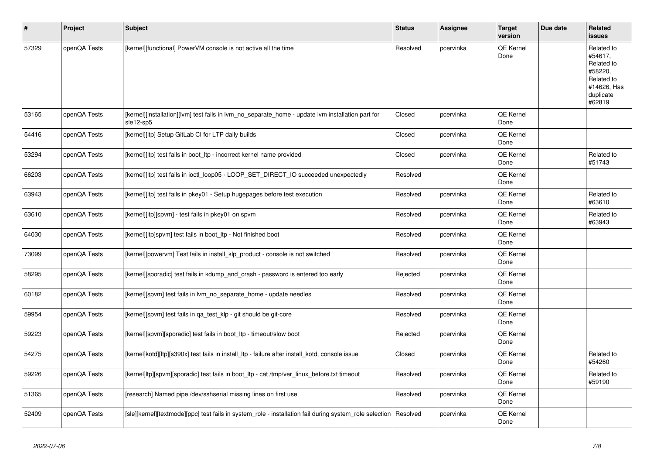| $\vert$ # | Project      | <b>Subject</b>                                                                                                 | <b>Status</b> | <b>Assignee</b> | <b>Target</b><br>version | Due date | Related<br>issues                                                                                  |
|-----------|--------------|----------------------------------------------------------------------------------------------------------------|---------------|-----------------|--------------------------|----------|----------------------------------------------------------------------------------------------------|
| 57329     | openQA Tests | [kernel][functional] PowerVM console is not active all the time                                                | Resolved      | pcervinka       | <b>QE Kernel</b><br>Done |          | Related to<br>#54617,<br>Related to<br>#58220,<br>Related to<br>#14626, Has<br>duplicate<br>#62819 |
| 53165     | openQA Tests | [kernel][installation][lvm] test fails in lvm no separate home - update lvm installation part for<br>sle12-sp5 | Closed        | pcervinka       | QE Kernel<br>Done        |          |                                                                                                    |
| 54416     | openQA Tests | [kernel][ltp] Setup GitLab CI for LTP daily builds                                                             | Closed        | pcervinka       | QE Kernel<br>Done        |          |                                                                                                    |
| 53294     | openQA Tests | [kernel][ltp] test fails in boot_ltp - incorrect kernel name provided                                          | Closed        | pcervinka       | <b>QE Kernel</b><br>Done |          | Related to<br>#51743                                                                               |
| 66203     | openQA Tests | [kernel][ltp] test fails in ioctl_loop05 - LOOP_SET_DIRECT_IO succeeded unexpectedly                           | Resolved      |                 | QE Kernel<br>Done        |          |                                                                                                    |
| 63943     | openQA Tests | [kernel][ltp] test fails in pkey01 - Setup hugepages before test execution                                     | Resolved      | pcervinka       | QE Kernel<br>Done        |          | Related to<br>#63610                                                                               |
| 63610     | openQA Tests | [kernel][ltp][spvm] - test fails in pkey01 on spvm                                                             | Resolved      | pcervinka       | QE Kernel<br>Done        |          | Related to<br>#63943                                                                               |
| 64030     | openQA Tests | [kernel][ltp]spvm] test fails in boot_ltp - Not finished boot                                                  | Resolved      | pcervinka       | QE Kernel<br>Done        |          |                                                                                                    |
| 73099     | openQA Tests | [kernel][powervm] Test fails in install_klp_product - console is not switched                                  | Resolved      | pcervinka       | QE Kernel<br>Done        |          |                                                                                                    |
| 58295     | openQA Tests | [kernel][sporadic] test fails in kdump and crash - password is entered too early                               | Rejected      | pcervinka       | QE Kernel<br>Done        |          |                                                                                                    |
| 60182     | openQA Tests | [kernel][spvm] test fails in lvm no separate home - update needles                                             | Resolved      | pcervinka       | QE Kernel<br>Done        |          |                                                                                                    |
| 59954     | openQA Tests | [kernel][spvm] test fails in qa_test_klp - git should be git-core                                              | Resolved      | pcervinka       | QE Kernel<br>Done        |          |                                                                                                    |
| 59223     | openQA Tests | [kernel][spvm][sporadic] test fails in boot_ltp - timeout/slow boot                                            | Rejected      | pcervinka       | QE Kernel<br>Done        |          |                                                                                                    |
| 54275     | openQA Tests | [kernel]kotd][ltp][s390x] test fails in install ltp - failure after install kotd, console issue                | Closed        | pcervinka       | <b>QE Kernel</b><br>Done |          | Related to<br>#54260                                                                               |
| 59226     | openQA Tests | [kernel]ltp][spvm][sporadic] test fails in boot_ltp - cat /tmp/ver_linux_before.txt timeout                    | Resolved      | pcervinka       | QE Kernel<br>Done        |          | Related to<br>#59190                                                                               |
| 51365     | openQA Tests | [research] Named pipe /dev/sshserial missing lines on first use                                                | Resolved      | pcervinka       | QE Kernel<br>Done        |          |                                                                                                    |
| 52409     | openQA Tests | [sle][kernel][textmode][ppc] test fails in system role - installation fail during system role selection        | Resolved      | pcervinka       | QE Kernel<br>Done        |          |                                                                                                    |